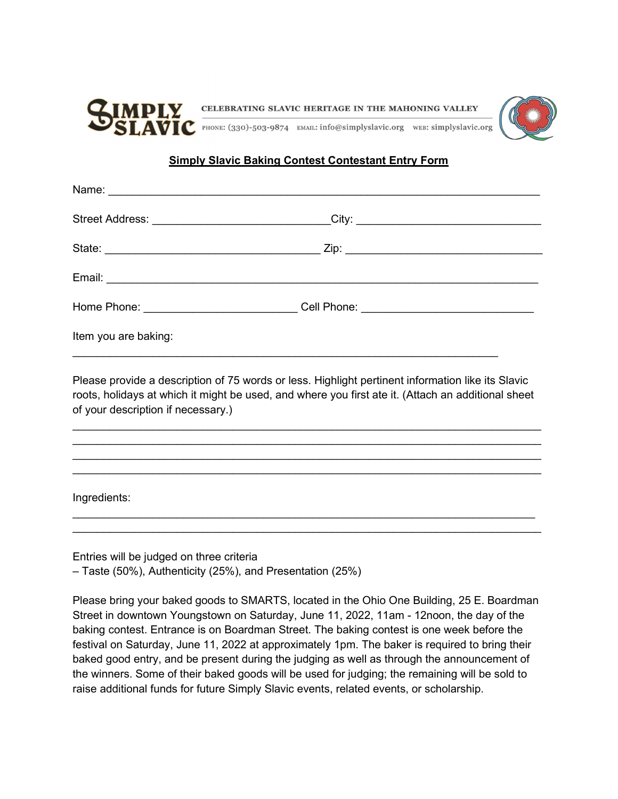

## **Simply Slavic Baking Contest Contestant Entry Form**

|                      | Street Address: _______________________________City: ___________________________ |
|----------------------|----------------------------------------------------------------------------------|
|                      |                                                                                  |
|                      |                                                                                  |
|                      | Home Phone: ______________________________Cell Phone: __________________________ |
| Item you are baking: |                                                                                  |

Please provide a description of 75 words or less. Highlight pertinent information like its Slavic roots, holidays at which it might be used, and where you first ate it. (Attach an additional sheet of your description if necessary.)

 $\mathcal{L}_\text{max}$  and  $\mathcal{L}_\text{max}$  and  $\mathcal{L}_\text{max}$  and  $\mathcal{L}_\text{max}$  and  $\mathcal{L}_\text{max}$  and  $\mathcal{L}_\text{max}$  $\mathcal{L}_\text{max}$  and  $\mathcal{L}_\text{max}$  and  $\mathcal{L}_\text{max}$  and  $\mathcal{L}_\text{max}$  and  $\mathcal{L}_\text{max}$  and  $\mathcal{L}_\text{max}$  $\mathcal{L}_\text{max}$  and  $\mathcal{L}_\text{max}$  and  $\mathcal{L}_\text{max}$  and  $\mathcal{L}_\text{max}$  and  $\mathcal{L}_\text{max}$  and  $\mathcal{L}_\text{max}$  $\mathcal{L}_\text{max}$  and  $\mathcal{L}_\text{max}$  and  $\mathcal{L}_\text{max}$  and  $\mathcal{L}_\text{max}$  and  $\mathcal{L}_\text{max}$  and  $\mathcal{L}_\text{max}$ 

 $\mathcal{L}_\text{max}$  and  $\mathcal{L}_\text{max}$  and  $\mathcal{L}_\text{max}$  and  $\mathcal{L}_\text{max}$  and  $\mathcal{L}_\text{max}$  and  $\mathcal{L}_\text{max}$  $\mathcal{L}_\text{max}$  and  $\mathcal{L}_\text{max}$  and  $\mathcal{L}_\text{max}$  and  $\mathcal{L}_\text{max}$  and  $\mathcal{L}_\text{max}$  and  $\mathcal{L}_\text{max}$ 

Ingredients:

Entries will be judged on three criteria – Taste (50%), Authenticity (25%), and Presentation (25%)

Please bring your baked goods to SMARTS, located in the Ohio One Building, 25 E. Boardman Street in downtown Youngstown on Saturday, June 11, 2022, 11am - 12noon, the day of the baking contest. Entrance is on Boardman Street. The baking contest is one week before the festival on Saturday, June 11, 2022 at approximately 1pm. The baker is required to bring their baked good entry, and be present during the judging as well as through the announcement of the winners. Some of their baked goods will be used for judging; the remaining will be sold to raise additional funds for future Simply Slavic events, related events, or scholarship.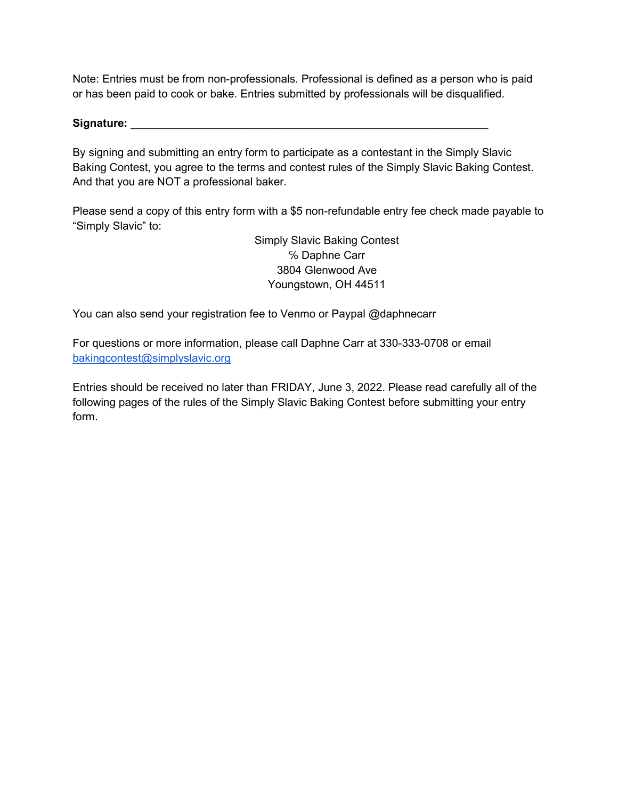Note: Entries must be from non-professionals. Professional is defined as a person who is paid or has been paid to cook or bake. Entries submitted by professionals will be disqualified.

Signature:

By signing and submitting an entry form to participate as a contestant in the Simply Slavic Baking Contest, you agree to the terms and contest rules of the Simply Slavic Baking Contest. And that you are NOT a professional baker.

Please send a copy of this entry form with a \$5 non-refundable entry fee check made payable to "Simply Slavic" to:

> Simply Slavic Baking Contest ℅ Daphne Carr 3804 Glenwood Ave Youngstown, OH 44511

You can also send your registration fee to Venmo or Paypal @daphnecarr

For questions or more information, please call Daphne Carr at 330-333-0708 or email bakingcontest@simplyslavic.org

Entries should be received no later than FRIDAY, June 3, 2022. Please read carefully all of the following pages of the rules of the Simply Slavic Baking Contest before submitting your entry form.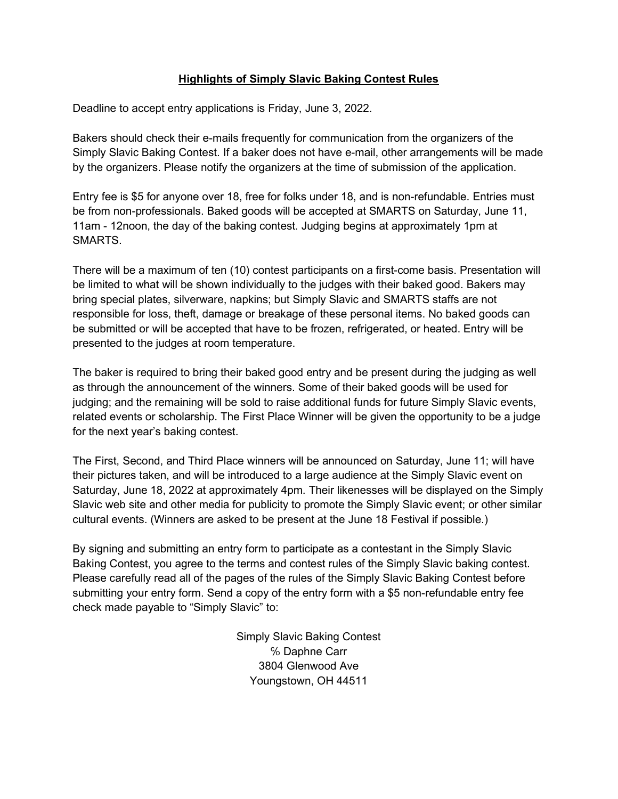# Highlights of Simply Slavic Baking Contest Rules

Deadline to accept entry applications is Friday, June 3, 2022.

Bakers should check their e-mails frequently for communication from the organizers of the Simply Slavic Baking Contest. If a baker does not have e-mail, other arrangements will be made by the organizers. Please notify the organizers at the time of submission of the application.

Entry fee is \$5 for anyone over 18, free for folks under 18, and is non-refundable. Entries must be from non-professionals. Baked goods will be accepted at SMARTS on Saturday, June 11, 11am - 12noon, the day of the baking contest. Judging begins at approximately 1pm at SMARTS.

There will be a maximum of ten (10) contest participants on a first-come basis. Presentation will be limited to what will be shown individually to the judges with their baked good. Bakers may bring special plates, silverware, napkins; but Simply Slavic and SMARTS staffs are not responsible for loss, theft, damage or breakage of these personal items. No baked goods can be submitted or will be accepted that have to be frozen, refrigerated, or heated. Entry will be presented to the judges at room temperature.

The baker is required to bring their baked good entry and be present during the judging as well as through the announcement of the winners. Some of their baked goods will be used for judging; and the remaining will be sold to raise additional funds for future Simply Slavic events, related events or scholarship. The First Place Winner will be given the opportunity to be a judge for the next year's baking contest.

The First, Second, and Third Place winners will be announced on Saturday, June 11; will have their pictures taken, and will be introduced to a large audience at the Simply Slavic event on Saturday, June 18, 2022 at approximately 4pm. Their likenesses will be displayed on the Simply Slavic web site and other media for publicity to promote the Simply Slavic event; or other similar cultural events. (Winners are asked to be present at the June 18 Festival if possible.)

By signing and submitting an entry form to participate as a contestant in the Simply Slavic Baking Contest, you agree to the terms and contest rules of the Simply Slavic baking contest. Please carefully read all of the pages of the rules of the Simply Slavic Baking Contest before submitting your entry form. Send a copy of the entry form with a \$5 non-refundable entry fee check made payable to "Simply Slavic" to:

> Simply Slavic Baking Contest ℅ Daphne Carr 3804 Glenwood Ave Youngstown, OH 44511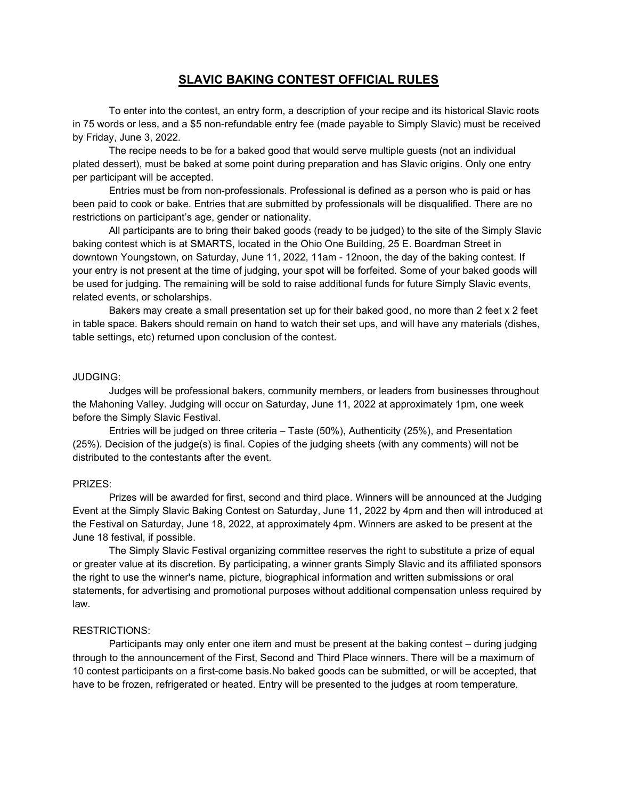## SLAVIC BAKING CONTEST OFFICIAL RULES

To enter into the contest, an entry form, a description of your recipe and its historical Slavic roots in 75 words or less, and a \$5 non-refundable entry fee (made payable to Simply Slavic) must be received by Friday, June 3, 2022.

The recipe needs to be for a baked good that would serve multiple guests (not an individual plated dessert), must be baked at some point during preparation and has Slavic origins. Only one entry per participant will be accepted.

Entries must be from non-professionals. Professional is defined as a person who is paid or has been paid to cook or bake. Entries that are submitted by professionals will be disqualified. There are no restrictions on participant's age, gender or nationality.

All participants are to bring their baked goods (ready to be judged) to the site of the Simply Slavic baking contest which is at SMARTS, located in the Ohio One Building, 25 E. Boardman Street in downtown Youngstown, on Saturday, June 11, 2022, 11am - 12noon, the day of the baking contest. If your entry is not present at the time of judging, your spot will be forfeited. Some of your baked goods will be used for judging. The remaining will be sold to raise additional funds for future Simply Slavic events, related events, or scholarships.

Bakers may create a small presentation set up for their baked good, no more than 2 feet x 2 feet in table space. Bakers should remain on hand to watch their set ups, and will have any materials (dishes, table settings, etc) returned upon conclusion of the contest.

#### JUDGING:

Judges will be professional bakers, community members, or leaders from businesses throughout the Mahoning Valley. Judging will occur on Saturday, June 11, 2022 at approximately 1pm, one week before the Simply Slavic Festival.

Entries will be judged on three criteria – Taste (50%), Authenticity (25%), and Presentation (25%). Decision of the judge(s) is final. Copies of the judging sheets (with any comments) will not be distributed to the contestants after the event.

#### PRIZES:

Prizes will be awarded for first, second and third place. Winners will be announced at the Judging Event at the Simply Slavic Baking Contest on Saturday, June 11, 2022 by 4pm and then will introduced at the Festival on Saturday, June 18, 2022, at approximately 4pm. Winners are asked to be present at the June 18 festival, if possible.

The Simply Slavic Festival organizing committee reserves the right to substitute a prize of equal or greater value at its discretion. By participating, a winner grants Simply Slavic and its affiliated sponsors the right to use the winner's name, picture, biographical information and written submissions or oral statements, for advertising and promotional purposes without additional compensation unless required by law.

### RESTRICTIONS:

Participants may only enter one item and must be present at the baking contest – during judging through to the announcement of the First, Second and Third Place winners. There will be a maximum of 10 contest participants on a first-come basis.No baked goods can be submitted, or will be accepted, that have to be frozen, refrigerated or heated. Entry will be presented to the judges at room temperature.